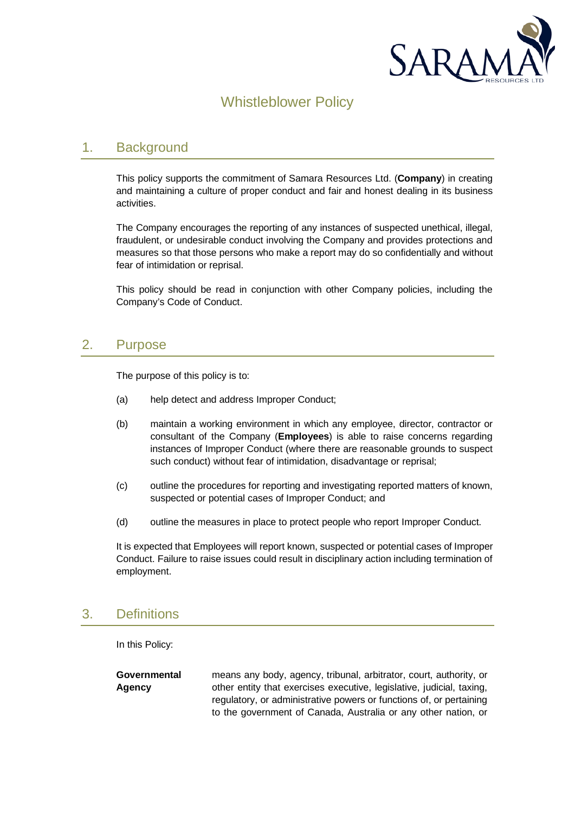

# Whistleblower Policy

### 1. Background

This policy supports the commitment of Samara Resources Ltd. (**Company**) in creating and maintaining a culture of proper conduct and fair and honest dealing in its business activities.

The Company encourages the reporting of any instances of suspected unethical, illegal, fraudulent, or undesirable conduct involving the Company and provides protections and measures so that those persons who make a report may do so confidentially and without fear of intimidation or reprisal.

This policy should be read in conjunction with other Company policies, including the Company's Code of Conduct.

### 2. Purpose

The purpose of this policy is to:

- (a) help detect and address Improper Conduct;
- (b) maintain a working environment in which any employee, director, contractor or consultant of the Company (**Employees**) is able to raise concerns regarding instances of Improper Conduct (where there are reasonable grounds to suspect such conduct) without fear of intimidation, disadvantage or reprisal;
- (c) outline the procedures for reporting and investigating reported matters of known, suspected or potential cases of Improper Conduct; and
- (d) outline the measures in place to protect people who report Improper Conduct.

It is expected that Employees will report known, suspected or potential cases of Improper Conduct. Failure to raise issues could result in disciplinary action including termination of employment.

## 3. Definitions

In this Policy:

**Governmental Agency** means any body, agency, tribunal, arbitrator, court, authority, or other entity that exercises executive, legislative, judicial, taxing, regulatory, or administrative powers or functions of, or pertaining to the government of Canada, Australia or any other nation, or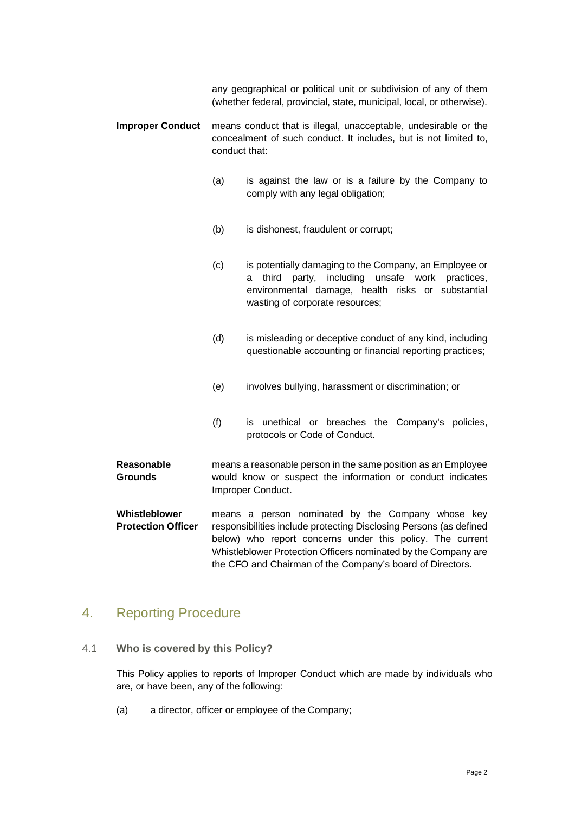any geographical or political unit or subdivision of any of them (whether federal, provincial, state, municipal, local, or otherwise).

- **Improper Conduct** means conduct that is illegal, unacceptable, undesirable or the concealment of such conduct. It includes, but is not limited to, conduct that:
	- (a) is against the law or is a failure by the Company to comply with any legal obligation;
	- (b) is dishonest, fraudulent or corrupt;
	- (c) is potentially damaging to the Company, an Employee or a third party, including unsafe work practices, environmental damage, health risks or substantial wasting of corporate resources;
	- (d) is misleading or deceptive conduct of any kind, including questionable accounting or financial reporting practices;
	- (e) involves bullying, harassment or discrimination; or
	- (f) is unethical or breaches the Company's policies, protocols or Code of Conduct.
- **Reasonable Grounds** means a reasonable person in the same position as an Employee would know or suspect the information or conduct indicates Improper Conduct.
- **Whistleblower Protection Officer** means a person nominated by the Company whose key responsibilities include protecting Disclosing Persons (as defined below) who report concerns under this policy. The current Whistleblower Protection Officers nominated by the Company are the CFO and Chairman of the Company's board of Directors.

### 4. Reporting Procedure

4.1 **Who is covered by this Policy?**

This Policy applies to reports of Improper Conduct which are made by individuals who are, or have been, any of the following:

(a) a director, officer or employee of the Company;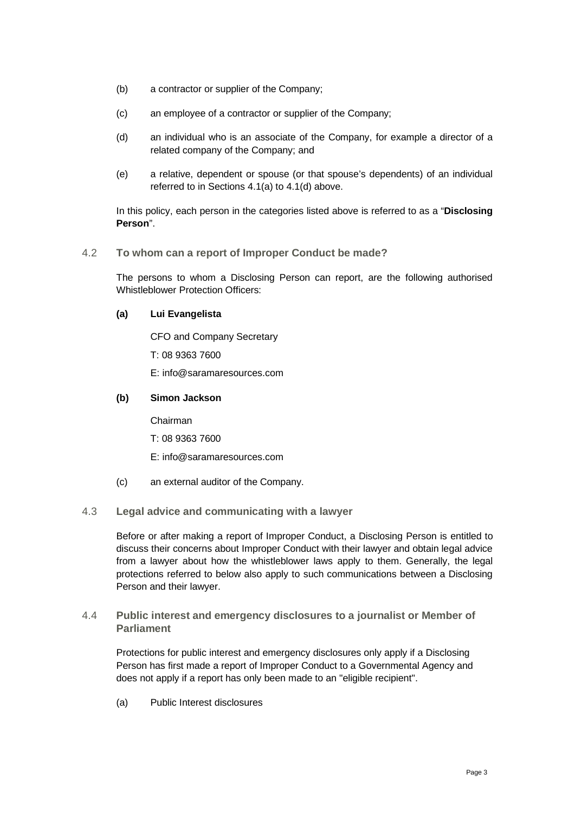- (b) a contractor or supplier of the Company;
- (c) an employee of a contractor or supplier of the Company;
- (d) an individual who is an associate of the Company, for example a director of a related company of the Company; and
- (e) a relative, dependent or spouse (or that spouse's dependents) of an individual referred to in Sections 4.1(a) to 4.1(d) above.

In this policy, each person in the categories listed above is referred to as a "**Disclosing Person**".

#### 4.2 **To whom can a report of Improper Conduct be made?**

The persons to whom a Disclosing Person can report, are the following authorised Whistleblower Protection Officers:

#### **(a) Lui Evangelista**

CFO and Company Secretary

T: 08 9363 7600

E: info@saramaresources.com

#### **(b) Simon Jackson**

Chairman

- T: 08 9363 7600
- E: info@saramaresources.com
- (c) an external auditor of the Company.

#### 4.3 **Legal advice and communicating with a lawyer**

Before or after making a report of Improper Conduct, a Disclosing Person is entitled to discuss their concerns about Improper Conduct with their lawyer and obtain legal advice from a lawyer about how the whistleblower laws apply to them. Generally, the legal protections referred to below also apply to such communications between a Disclosing Person and their lawyer.

4.4 **Public interest and emergency disclosures to a journalist or Member of Parliament**

Protections for public interest and emergency disclosures only apply if a Disclosing Person has first made a report of Improper Conduct to a Governmental Agency and does not apply if a report has only been made to an "eligible recipient".

(a) Public Interest disclosures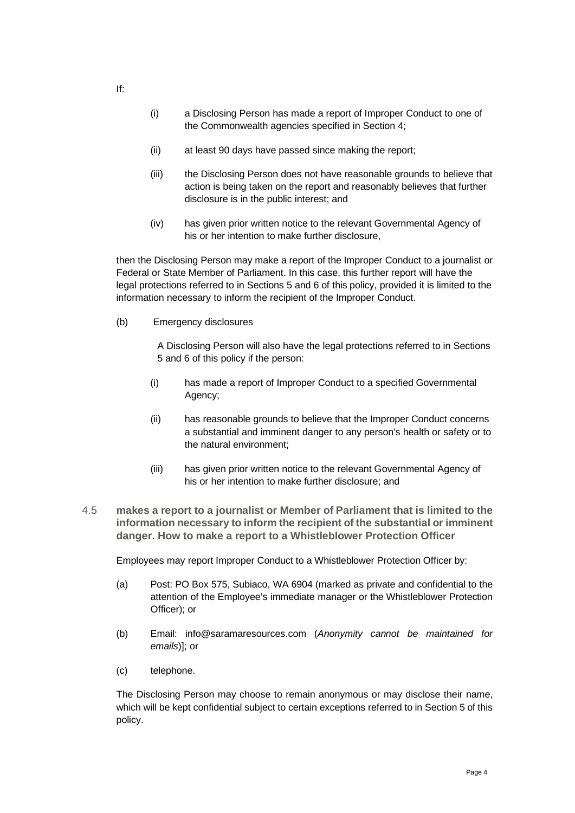- (i) a Disclosing Person has made a report of Improper Conduct to one of the Commonwealth agencies specified in Section 4;
- (ii) at least 90 days have passed since making the report;
- (iii) the Disclosing Person does not have reasonable grounds to believe that action is being taken on the report and reasonably believes that further disclosure is in the public interest; and
- (iv) has given prior written notice to the relevant Governmental Agency of his or her intention to make further disclosure,

then the Disclosing Person may make a report of the Improper Conduct to a journalist or Federal or State Member of Parliament. In this case, this further report will have the legal protections referred to in Sections 5 and 6 of this policy, provided it is limited to the information necessary to inform the recipient of the Improper Conduct.

(b) Emergency disclosures

A Disclosing Person will also have the legal protections referred to in Sections 5 and 6 of this policy if the person:

- (i) has made a report of Improper Conduct to a specified Governmental Agency;
- (ii) has reasonable grounds to believe that the Improper Conduct concerns a substantial and imminent danger to any person's health or safety or to the natural environment;
- (iii) has given prior written notice to the relevant Governmental Agency of his or her intention to make further disclosure; and
- 4.5 **makes a report to a journalist or Member of Parliament that is limited to the information necessary to inform the recipient of the substantial or imminent danger. How to make a report to a Whistleblower Protection Officer**

Employees may report Improper Conduct to a Whistleblower Protection Officer by:

- (a) Post: PO Box 575, Subiaco, WA 6904 (marked as private and confidential to the attention of the Employee's immediate manager or the Whistleblower Protection Officer); or
- (b) Email: info@saramaresources.com (*Anonymity cannot be maintained for emails*)]; or
- (c) telephone.

The Disclosing Person may choose to remain anonymous or may disclose their name, which will be kept confidential subject to certain exceptions referred to in Section 5 of this policy.

If: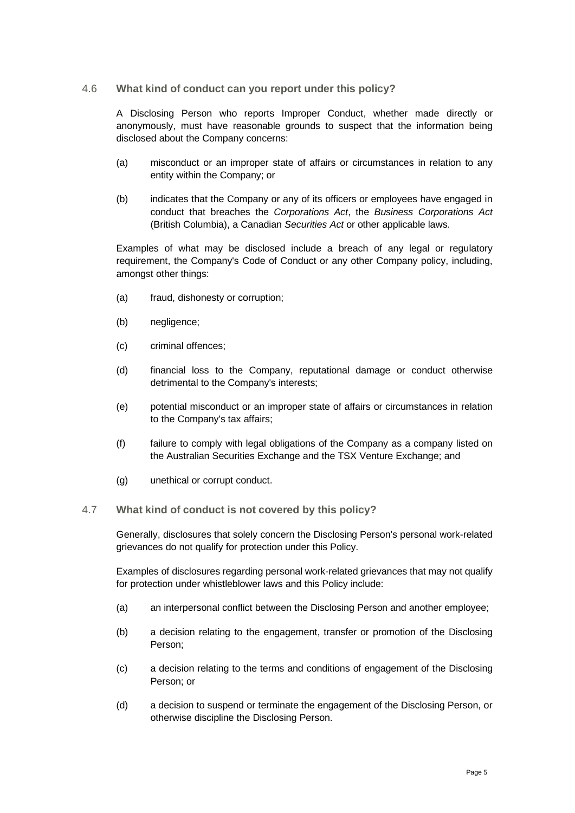#### 4.6 **What kind of conduct can you report under this policy?**

A Disclosing Person who reports Improper Conduct, whether made directly or anonymously, must have reasonable grounds to suspect that the information being disclosed about the Company concerns:

- (a) misconduct or an improper state of affairs or circumstances in relation to any entity within the Company; or
- (b) indicates that the Company or any of its officers or employees have engaged in conduct that breaches the *Corporations Act*, the *Business Corporations Act* (British Columbia), a Canadian *Securities Act* or other applicable laws.

Examples of what may be disclosed include a breach of any legal or regulatory requirement, the Company's Code of Conduct or any other Company policy, including, amongst other things:

- (a) fraud, dishonesty or corruption;
- (b) negligence;
- (c) criminal offences;
- (d) financial loss to the Company, reputational damage or conduct otherwise detrimental to the Company's interests;
- (e) potential misconduct or an improper state of affairs or circumstances in relation to the Company's tax affairs;
- (f) failure to comply with legal obligations of the Company as a company listed on the Australian Securities Exchange and the TSX Venture Exchange; and
- (g) unethical or corrupt conduct.

#### 4.7 **What kind of conduct is not covered by this policy?**

Generally, disclosures that solely concern the Disclosing Person's personal work-related grievances do not qualify for protection under this Policy.

Examples of disclosures regarding personal work-related grievances that may not qualify for protection under whistleblower laws and this Policy include:

- (a) an interpersonal conflict between the Disclosing Person and another employee;
- (b) a decision relating to the engagement, transfer or promotion of the Disclosing Person;
- (c) a decision relating to the terms and conditions of engagement of the Disclosing Person; or
- (d) a decision to suspend or terminate the engagement of the Disclosing Person, or otherwise discipline the Disclosing Person.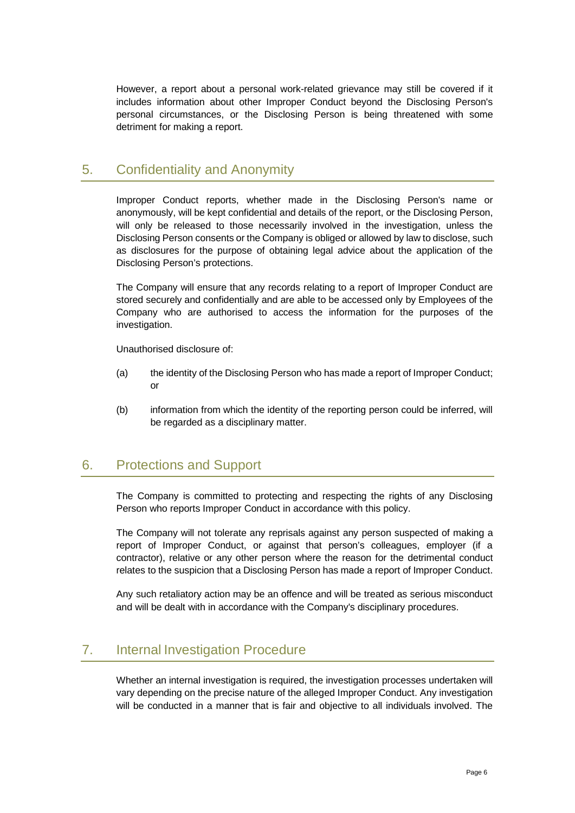However, a report about a personal work-related grievance may still be covered if it includes information about other Improper Conduct beyond the Disclosing Person's personal circumstances, or the Disclosing Person is being threatened with some detriment for making a report.

## 5. Confidentiality and Anonymity

Improper Conduct reports, whether made in the Disclosing Person's name or anonymously, will be kept confidential and details of the report, or the Disclosing Person, will only be released to those necessarily involved in the investigation, unless the Disclosing Person consents or the Company is obliged or allowed by law to disclose, such as disclosures for the purpose of obtaining legal advice about the application of the Disclosing Person's protections.

The Company will ensure that any records relating to a report of Improper Conduct are stored securely and confidentially and are able to be accessed only by Employees of the Company who are authorised to access the information for the purposes of the investigation.

Unauthorised disclosure of:

- (a) the identity of the Disclosing Person who has made a report of Improper Conduct; or
- (b) information from which the identity of the reporting person could be inferred, will be regarded as a disciplinary matter.

## 6. Protections and Support

The Company is committed to protecting and respecting the rights of any Disclosing Person who reports Improper Conduct in accordance with this policy.

The Company will not tolerate any reprisals against any person suspected of making a report of Improper Conduct, or against that person's colleagues, employer (if a contractor), relative or any other person where the reason for the detrimental conduct relates to the suspicion that a Disclosing Person has made a report of Improper Conduct.

Any such retaliatory action may be an offence and will be treated as serious misconduct and will be dealt with in accordance with the Company's disciplinary procedures.

## 7. Internal Investigation Procedure

Whether an internal investigation is required, the investigation processes undertaken will vary depending on the precise nature of the alleged Improper Conduct. Any investigation will be conducted in a manner that is fair and objective to all individuals involved. The